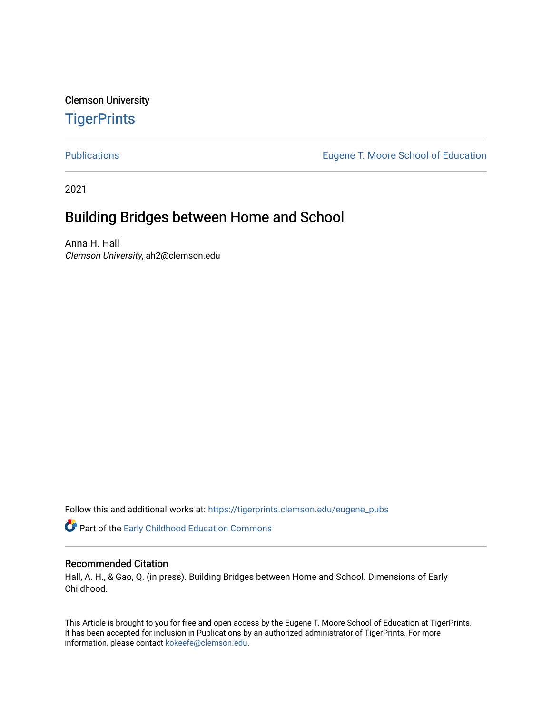Clemson University **TigerPrints** 

[Publications](https://tigerprints.clemson.edu/eugene_pubs) [Eugene T. Moore School of Education](https://tigerprints.clemson.edu/moore_ed) 

2021

# Building Bridges between Home and School

Anna H. Hall Clemson University, ah2@clemson.edu

Follow this and additional works at: [https://tigerprints.clemson.edu/eugene\\_pubs](https://tigerprints.clemson.edu/eugene_pubs?utm_source=tigerprints.clemson.edu%2Feugene_pubs%2F80&utm_medium=PDF&utm_campaign=PDFCoverPages)

Part of the [Early Childhood Education Commons](http://network.bepress.com/hgg/discipline/1377?utm_source=tigerprints.clemson.edu%2Feugene_pubs%2F80&utm_medium=PDF&utm_campaign=PDFCoverPages) 

## Recommended Citation

Hall, A. H., & Gao, Q. (in press). Building Bridges between Home and School. Dimensions of Early Childhood.

This Article is brought to you for free and open access by the Eugene T. Moore School of Education at TigerPrints. It has been accepted for inclusion in Publications by an authorized administrator of TigerPrints. For more information, please contact [kokeefe@clemson.edu.](mailto:kokeefe@clemson.edu)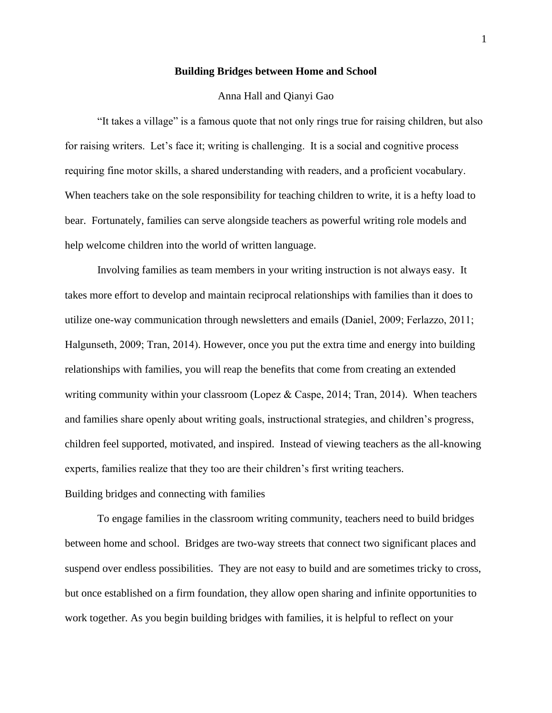## **Building Bridges between Home and School**

## Anna Hall and Qianyi Gao

"It takes a village" is a famous quote that not only rings true for raising children, but also for raising writers. Let's face it; writing is challenging. It is a social and cognitive process requiring fine motor skills, a shared understanding with readers, and a proficient vocabulary. When teachers take on the sole responsibility for teaching children to write, it is a hefty load to bear. Fortunately, families can serve alongside teachers as powerful writing role models and help welcome children into the world of written language.

Involving families as team members in your writing instruction is not always easy. It takes more effort to develop and maintain reciprocal relationships with families than it does to utilize one-way communication through newsletters and emails (Daniel, 2009; Ferlazzo, 2011; Halgunseth, 2009; Tran, 2014). However, once you put the extra time and energy into building relationships with families, you will reap the benefits that come from creating an extended writing community within your classroom (Lopez & Caspe, 2014; Tran, 2014). When teachers and families share openly about writing goals, instructional strategies, and children's progress, children feel supported, motivated, and inspired. Instead of viewing teachers as the all-knowing experts, families realize that they too are their children's first writing teachers. Building bridges and connecting with families

To engage families in the classroom writing community, teachers need to build bridges between home and school. Bridges are two-way streets that connect two significant places and suspend over endless possibilities. They are not easy to build and are sometimes tricky to cross, but once established on a firm foundation, they allow open sharing and infinite opportunities to work together. As you begin building bridges with families, it is helpful to reflect on your

1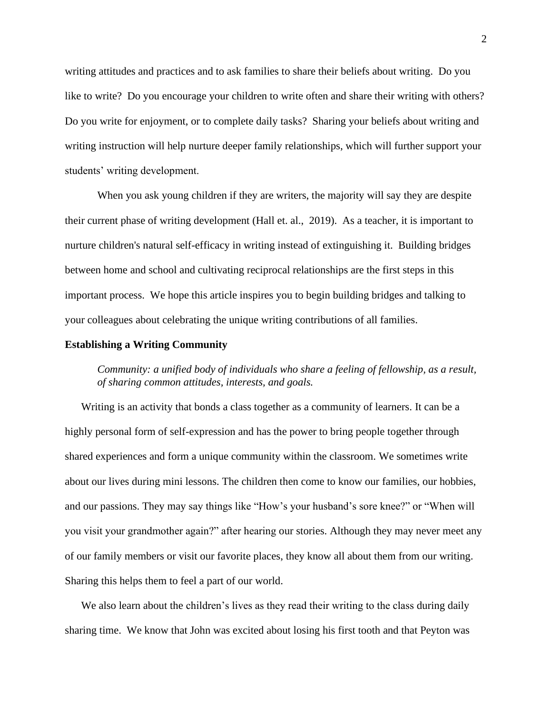writing attitudes and practices and to ask families to share their beliefs about writing. Do you like to write? Do you encourage your children to write often and share their writing with others? Do you write for enjoyment, or to complete daily tasks? Sharing your beliefs about writing and writing instruction will help nurture deeper family relationships, which will further support your students' writing development.

When you ask young children if they are writers, the majority will say they are despite their current phase of writing development (Hall et. al., 2019). As a teacher, it is important to nurture children's natural self-efficacy in writing instead of extinguishing it. Building bridges between home and school and cultivating reciprocal relationships are the first steps in this important process. We hope this article inspires you to begin building bridges and talking to your colleagues about celebrating the unique writing contributions of all families.

## **Establishing a Writing Community**

*Community: a unified body of individuals who share a feeling of fellowship, as a result, of sharing common attitudes, interests, and goals.* 

Writing is an activity that bonds a class together as a community of learners. It can be a highly personal form of self-expression and has the power to bring people together through shared experiences and form a unique community within the classroom. We sometimes write about our lives during mini lessons. The children then come to know our families, our hobbies, and our passions. They may say things like "How's your husband's sore knee?" or "When will you visit your grandmother again?" after hearing our stories. Although they may never meet any of our family members or visit our favorite places, they know all about them from our writing. Sharing this helps them to feel a part of our world.

We also learn about the children's lives as they read their writing to the class during daily sharing time. We know that John was excited about losing his first tooth and that Peyton was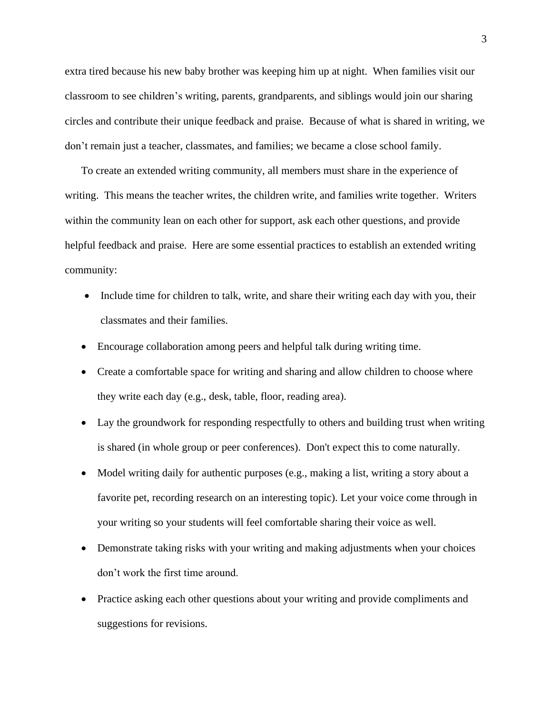extra tired because his new baby brother was keeping him up at night. When families visit our classroom to see children's writing, parents, grandparents, and siblings would join our sharing circles and contribute their unique feedback and praise. Because of what is shared in writing, we don't remain just a teacher, classmates, and families; we became a close school family.

To create an extended writing community, all members must share in the experience of writing. This means the teacher writes, the children write, and families write together. Writers within the community lean on each other for support, ask each other questions, and provide helpful feedback and praise. Here are some essential practices to establish an extended writing community:

- Include time for children to talk, write, and share their writing each day with you, their classmates and their families.
- Encourage collaboration among peers and helpful talk during writing time.
- Create a comfortable space for writing and sharing and allow children to choose where they write each day (e.g., desk, table, floor, reading area).
- Lay the groundwork for responding respectfully to others and building trust when writing is shared (in whole group or peer conferences). Don't expect this to come naturally.
- Model writing daily for authentic purposes (e.g., making a list, writing a story about a favorite pet, recording research on an interesting topic). Let your voice come through in your writing so your students will feel comfortable sharing their voice as well.
- Demonstrate taking risks with your writing and making adjustments when your choices don't work the first time around.
- Practice asking each other questions about your writing and provide compliments and suggestions for revisions.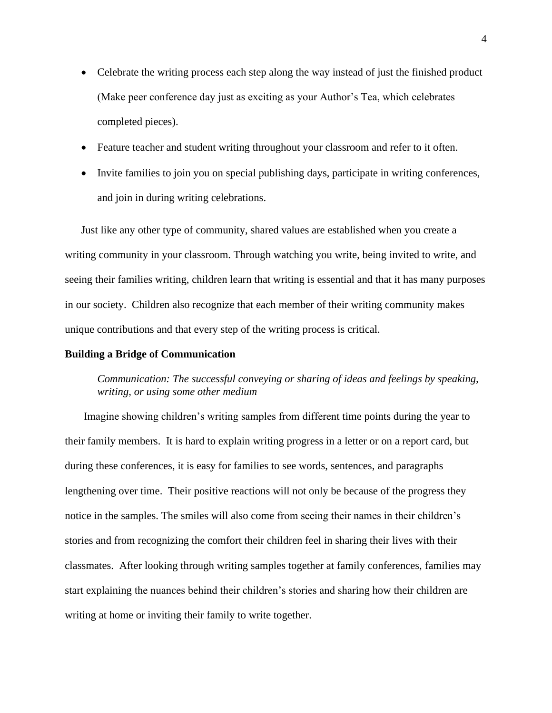- Celebrate the writing process each step along the way instead of just the finished product (Make peer conference day just as exciting as your Author's Tea, which celebrates completed pieces).
- Feature teacher and student writing throughout your classroom and refer to it often.
- Invite families to join you on special publishing days, participate in writing conferences, and join in during writing celebrations.

Just like any other type of community, shared values are established when you create a writing community in your classroom. Through watching you write, being invited to write, and seeing their families writing, children learn that writing is essential and that it has many purposes in our society. Children also recognize that each member of their writing community makes unique contributions and that every step of the writing process is critical.

## **Building a Bridge of Communication**

## *Communication: The successful conveying or sharing of ideas and feelings by speaking, writing, or using some other medium*

Imagine showing children's writing samples from different time points during the year to their family members. It is hard to explain writing progress in a letter or on a report card, but during these conferences, it is easy for families to see words, sentences, and paragraphs lengthening over time. Their positive reactions will not only be because of the progress they notice in the samples. The smiles will also come from seeing their names in their children's stories and from recognizing the comfort their children feel in sharing their lives with their classmates. After looking through writing samples together at family conferences, families may start explaining the nuances behind their children's stories and sharing how their children are writing at home or inviting their family to write together.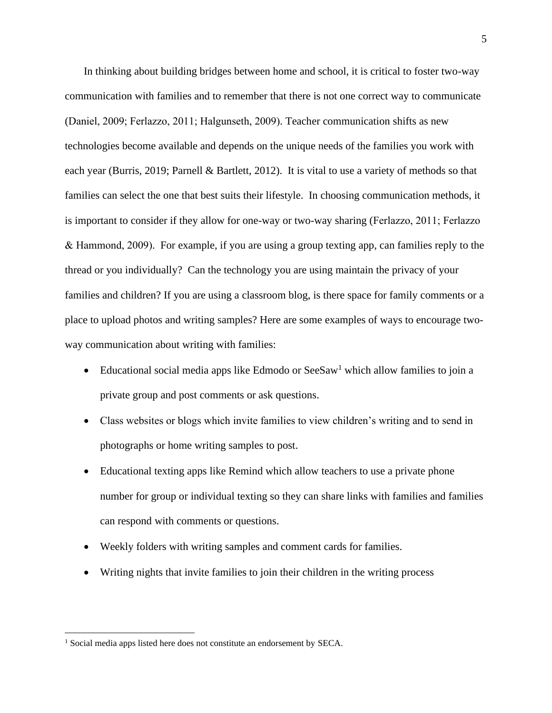In thinking about building bridges between home and school, it is critical to foster two-way communication with families and to remember that there is not one correct way to communicate (Daniel, 2009; Ferlazzo, 2011; Halgunseth, 2009). Teacher communication shifts as new technologies become available and depends on the unique needs of the families you work with each year (Burris, 2019; Parnell & Bartlett, 2012). It is vital to use a variety of methods so that families can select the one that best suits their lifestyle. In choosing communication methods, it is important to consider if they allow for one-way or two-way sharing (Ferlazzo, 2011; Ferlazzo & Hammond, 2009). For example, if you are using a group texting app, can families reply to the thread or you individually? Can the technology you are using maintain the privacy of your families and children? If you are using a classroom blog, is there space for family comments or a place to upload photos and writing samples? Here are some examples of ways to encourage twoway communication about writing with families:

- Educational social media apps like Edmodo or  $\text{SeeSaw}^1$  which allow families to join a private group and post comments or ask questions.
- Class websites or blogs which invite families to view children's writing and to send in photographs or home writing samples to post.
- Educational texting apps like Remind which allow teachers to use a private phone number for group or individual texting so they can share links with families and families can respond with comments or questions.
- Weekly folders with writing samples and comment cards for families.
- Writing nights that invite families to join their children in the writing process

<sup>&</sup>lt;sup>1</sup> Social media apps listed here does not constitute an endorsement by SECA.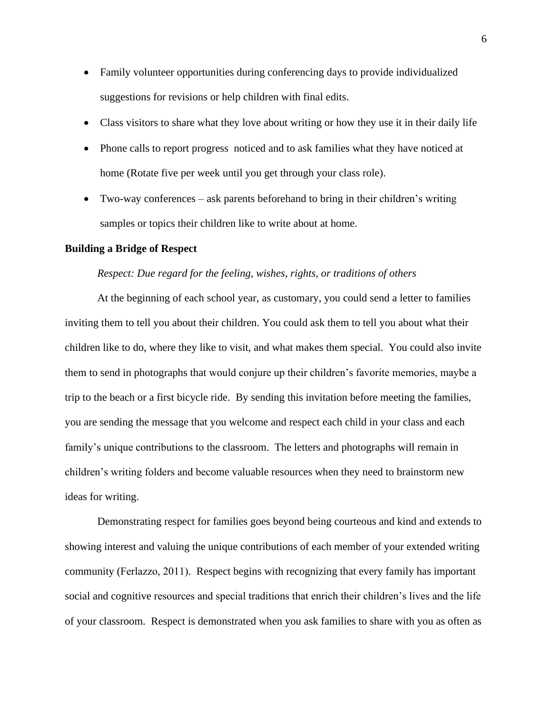- Family volunteer opportunities during conferencing days to provide individualized suggestions for revisions or help children with final edits.
- Class visitors to share what they love about writing or how they use it in their daily life
- Phone calls to report progress noticed and to ask families what they have noticed at home (Rotate five per week until you get through your class role).
- Two-way conferences ask parents beforehand to bring in their children's writing samples or topics their children like to write about at home.

### **Building a Bridge of Respect**

### *Respect: Due regard for the feeling, wishes, rights, or traditions of others*

At the beginning of each school year, as customary, you could send a letter to families inviting them to tell you about their children. You could ask them to tell you about what their children like to do, where they like to visit, and what makes them special. You could also invite them to send in photographs that would conjure up their children's favorite memories, maybe a trip to the beach or a first bicycle ride. By sending this invitation before meeting the families, you are sending the message that you welcome and respect each child in your class and each family's unique contributions to the classroom. The letters and photographs will remain in children's writing folders and become valuable resources when they need to brainstorm new ideas for writing.

Demonstrating respect for families goes beyond being courteous and kind and extends to showing interest and valuing the unique contributions of each member of your extended writing community (Ferlazzo, 2011). Respect begins with recognizing that every family has important social and cognitive resources and special traditions that enrich their children's lives and the life of your classroom. Respect is demonstrated when you ask families to share with you as often as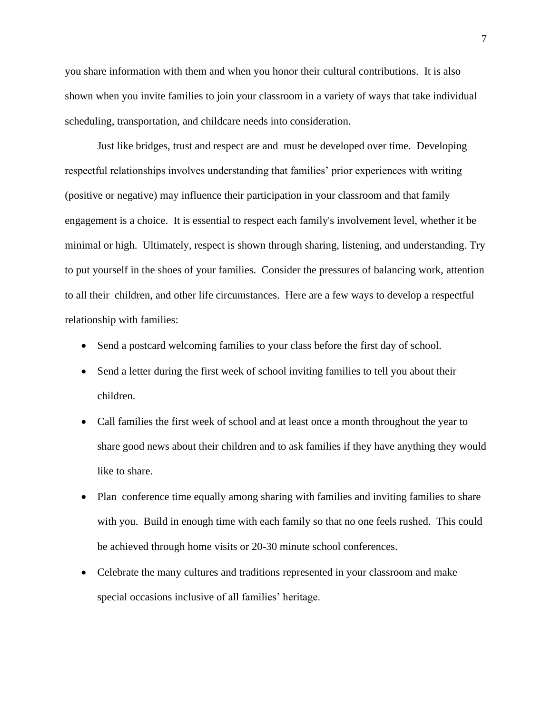you share information with them and when you honor their cultural contributions. It is also shown when you invite families to join your classroom in a variety of ways that take individual scheduling, transportation, and childcare needs into consideration.

Just like bridges, trust and respect are and must be developed over time. Developing respectful relationships involves understanding that families' prior experiences with writing (positive or negative) may influence their participation in your classroom and that family engagement is a choice. It is essential to respect each family's involvement level, whether it be minimal or high. Ultimately, respect is shown through sharing, listening, and understanding. Try to put yourself in the shoes of your families. Consider the pressures of balancing work, attention to all their children, and other life circumstances. Here are a few ways to develop a respectful relationship with families:

- Send a postcard welcoming families to your class before the first day of school.
- Send a letter during the first week of school inviting families to tell you about their children.
- Call families the first week of school and at least once a month throughout the year to share good news about their children and to ask families if they have anything they would like to share.
- Plan conference time equally among sharing with families and inviting families to share with you. Build in enough time with each family so that no one feels rushed. This could be achieved through home visits or 20-30 minute school conferences.
- Celebrate the many cultures and traditions represented in your classroom and make special occasions inclusive of all families' heritage.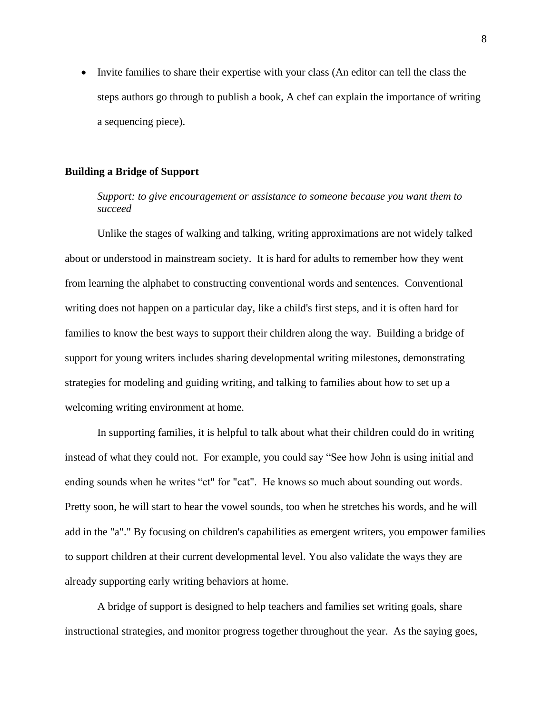• Invite families to share their expertise with your class (An editor can tell the class the steps authors go through to publish a book, A chef can explain the importance of writing a sequencing piece).

## **Building a Bridge of Support**

*Support: to give encouragement or assistance to someone because you want them to succeed*

Unlike the stages of walking and talking, writing approximations are not widely talked about or understood in mainstream society. It is hard for adults to remember how they went from learning the alphabet to constructing conventional words and sentences. Conventional writing does not happen on a particular day, like a child's first steps, and it is often hard for families to know the best ways to support their children along the way. Building a bridge of support for young writers includes sharing developmental writing milestones, demonstrating strategies for modeling and guiding writing, and talking to families about how to set up a welcoming writing environment at home.

In supporting families, it is helpful to talk about what their children could do in writing instead of what they could not. For example, you could say "See how John is using initial and ending sounds when he writes "ct" for "cat". He knows so much about sounding out words. Pretty soon, he will start to hear the vowel sounds, too when he stretches his words, and he will add in the "a"." By focusing on children's capabilities as emergent writers, you empower families to support children at their current developmental level. You also validate the ways they are already supporting early writing behaviors at home.

A bridge of support is designed to help teachers and families set writing goals, share instructional strategies, and monitor progress together throughout the year. As the saying goes,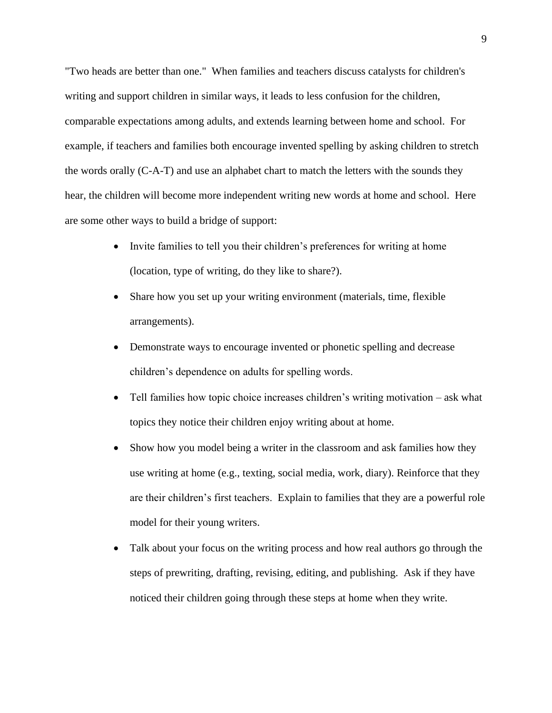"Two heads are better than one." When families and teachers discuss catalysts for children's writing and support children in similar ways, it leads to less confusion for the children, comparable expectations among adults, and extends learning between home and school. For example, if teachers and families both encourage invented spelling by asking children to stretch the words orally (C-A-T) and use an alphabet chart to match the letters with the sounds they hear, the children will become more independent writing new words at home and school. Here are some other ways to build a bridge of support:

- Invite families to tell you their children's preferences for writing at home (location, type of writing, do they like to share?).
- Share how you set up your writing environment (materials, time, flexible arrangements).
- Demonstrate ways to encourage invented or phonetic spelling and decrease children's dependence on adults for spelling words.
- Tell families how topic choice increases children's writing motivation ask what topics they notice their children enjoy writing about at home.
- Show how you model being a writer in the classroom and ask families how they use writing at home (e.g., texting, social media, work, diary). Reinforce that they are their children's first teachers. Explain to families that they are a powerful role model for their young writers.
- Talk about your focus on the writing process and how real authors go through the steps of prewriting, drafting, revising, editing, and publishing. Ask if they have noticed their children going through these steps at home when they write.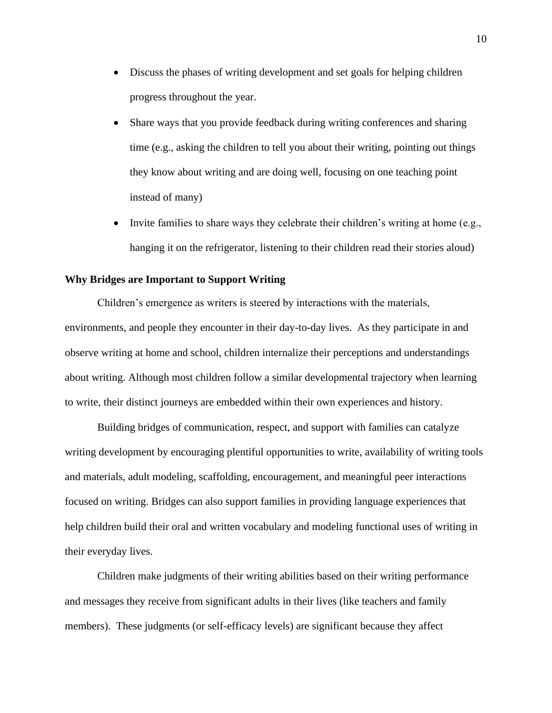- Discuss the phases of writing development and set goals for helping children progress throughout the year.
- Share ways that you provide feedback during writing conferences and sharing time (e.g., asking the children to tell you about their writing, pointing out things they know about writing and are doing well, focusing on one teaching point instead of many)
- Invite families to share ways they celebrate their children's writing at home (e.g., hanging it on the refrigerator, listening to their children read their stories aloud)

## **Why Bridges are Important to Support Writing**

Children's emergence as writers is steered by interactions with the materials, environments, and people they encounter in their day-to-day lives. As they participate in and observe writing at home and school, children internalize their perceptions and understandings about writing. Although most children follow a similar developmental trajectory when learning to write, their distinct journeys are embedded within their own experiences and history.

Building bridges of communication, respect, and support with families can catalyze writing development by encouraging plentiful opportunities to write, availability of writing tools and materials, adult modeling, scaffolding, encouragement, and meaningful peer interactions focused on writing. Bridges can also support families in providing language experiences that help children build their oral and written vocabulary and modeling functional uses of writing in their everyday lives.

Children make judgments of their writing abilities based on their writing performance and messages they receive from significant adults in their lives (like teachers and family members). These judgments (or self-efficacy levels) are significant because they affect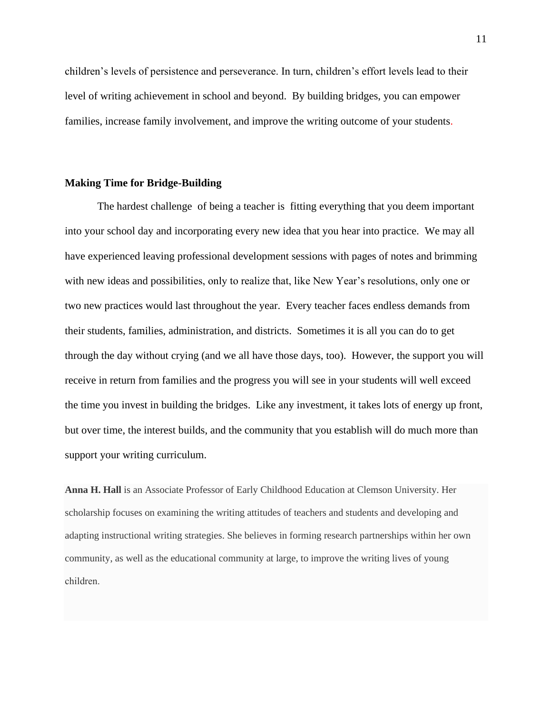children's levels of persistence and perseverance. In turn, children's effort levels lead to their level of writing achievement in school and beyond. By building bridges, you can empower families, increase family involvement, and improve the writing outcome of your students.

## **Making Time for Bridge-Building**

The hardest challenge of being a teacher is fitting everything that you deem important into your school day and incorporating every new idea that you hear into practice. We may all have experienced leaving professional development sessions with pages of notes and brimming with new ideas and possibilities, only to realize that, like New Year's resolutions, only one or two new practices would last throughout the year. Every teacher faces endless demands from their students, families, administration, and districts. Sometimes it is all you can do to get through the day without crying (and we all have those days, too). However, the support you will receive in return from families and the progress you will see in your students will well exceed the time you invest in building the bridges. Like any investment, it takes lots of energy up front, but over time, the interest builds, and the community that you establish will do much more than support your writing curriculum.

**Anna H. Hall** is an Associate Professor of Early Childhood Education at Clemson University. Her scholarship focuses on examining the writing attitudes of teachers and students and developing and adapting instructional writing strategies. She believes in forming research partnerships within her own community, as well as the educational community at large, to improve the writing lives of young children.